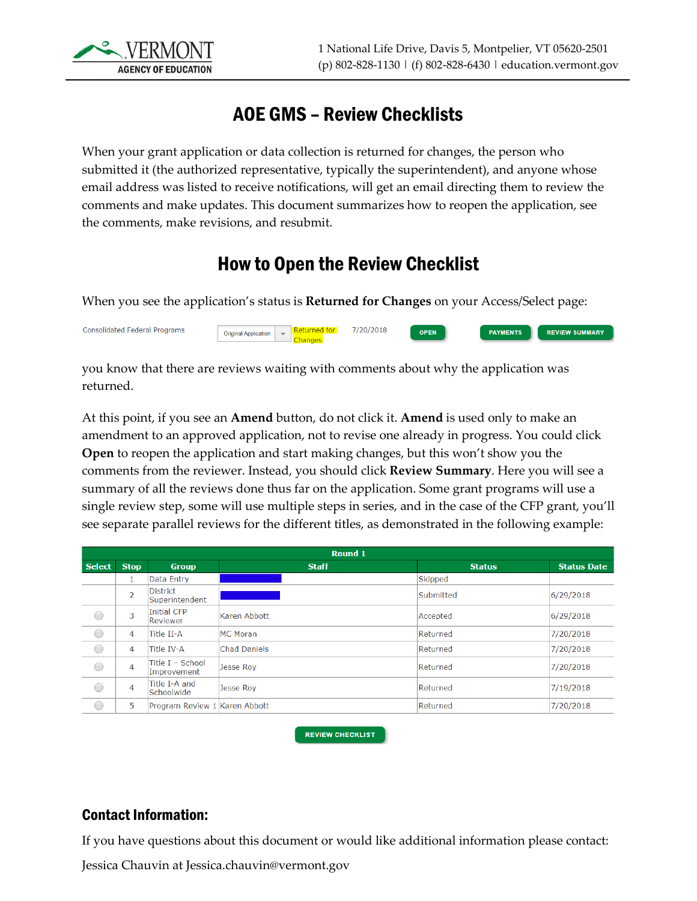

### AOE GMS – Review Checklists

When your grant application or data collection is returned for changes, the person who submitted it (the authorized representative, typically the superintendent), and anyone whose email address was listed to receive notifications, will get an email directing them to review the comments and make updates. This document summarizes how to reopen the application, see the comments, make revisions, and resubmit.

### How to Open the Review Checklist

When you see the application's status is **Returned for Changes** on your Access/Select page:

Original Application | Returned for

Consolidated Federal Programs

you know that there are reviews waiting with comments about why the application was

7/20/2018

OPEN

PAYMENTS

**REVIEW SUMMARY** 

returned.

At this point, if you see an **Amend** button, do not click it. **Amend** is used only to make an amendment to an approved application, not to revise one already in progress. You could click **Open** to reopen the application and start making changes, but this won't show you the comments from the reviewer. Instead, you should click **Review Summary**. Here you will see a summary of all the reviews done thus far on the application. Some grant programs will use a single review step, some will use multiple steps in series, and in the case of the CFP grant, you'll see separate parallel reviews for the different titles, as demonstrated in the following example:

| Round 1       |                |                                 |                     |               |                    |  |  |  |
|---------------|----------------|---------------------------------|---------------------|---------------|--------------------|--|--|--|
| <b>Select</b> | <b>Stop</b>    | <b>Group</b>                    | <b>Staff</b>        | <b>Status</b> | <b>Status Date</b> |  |  |  |
|               |                | Data Entry                      |                     | Skipped       |                    |  |  |  |
|               | $\overline{2}$ | District<br>Superintendent      |                     | Submitted     | 6/29/2018          |  |  |  |
| 0             | 3              | Initial CFP<br>Reviewer         | Karen Abbott        | Accepted      | 6/29/2018          |  |  |  |
| 0             | 4              | Title II-A                      | MC Moran            | Returned      | 7/20/2018          |  |  |  |
| O             | 4              | Title IV-A                      | <b>Chad Daniels</b> | Returned      | 7/20/2018          |  |  |  |
| O             | 4              | Title I - School<br>Improvement | Jesse Roy           | Returned      | 7/20/2018          |  |  |  |
| O             | 4              | Title I-A and<br>Schoolwide     | Jesse Roy           | Returned      | 7/19/2018          |  |  |  |
| O             | 5              | Program Review 1 Karen Abbott   |                     | Returned      | 7/20/2018          |  |  |  |

**REVIEW CHECKLIST** 

#### Contact Information:

If you have questions about this document or would like additional information please contact:

Jessica Chauvin at Jessica.chauvin@vermont.gov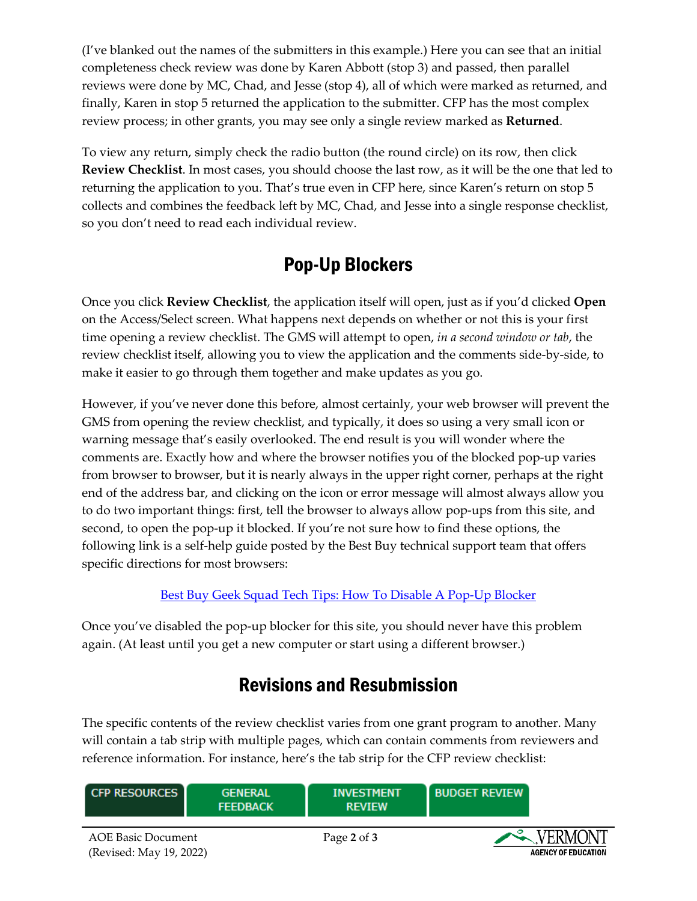(I've blanked out the names of the submitters in this example.) Here you can see that an initial completeness check review was done by Karen Abbott (stop 3) and passed, then parallel reviews were done by MC, Chad, and Jesse (stop 4), all of which were marked as returned, and finally, Karen in stop 5 returned the application to the submitter. CFP has the most complex review process; in other grants, you may see only a single review marked as **Returned**.

To view any return, simply check the radio button (the round circle) on its row, then click **Review Checklist**. In most cases, you should choose the last row, as it will be the one that led to returning the application to you. That's true even in CFP here, since Karen's return on stop 5 collects and combines the feedback left by MC, Chad, and Jesse into a single response checklist, so you don't need to read each individual review.

# Pop-Up Blockers

Once you click **Review Checklist**, the application itself will open, just as if you'd clicked **Open** on the Access/Select screen. What happens next depends on whether or not this is your first time opening a review checklist. The GMS will attempt to open, *in a second window or tab*, the review checklist itself, allowing you to view the application and the comments side-by-side, to make it easier to go through them together and make updates as you go.

However, if you've never done this before, almost certainly, your web browser will prevent the GMS from opening the review checklist, and typically, it does so using a very small icon or warning message that's easily overlooked. The end result is you will wonder where the comments are. Exactly how and where the browser notifies you of the blocked pop-up varies from browser to browser, but it is nearly always in the upper right corner, perhaps at the right end of the address bar, and clicking on the icon or error message will almost always allow you to do two important things: first, tell the browser to always allow pop-ups from this site, and second, to open the pop-up it blocked. If you're not sure how to find these options, the following link is a self-help guide posted by the Best Buy technical support team that offers specific directions for most browsers:

#### [Best Buy Geek Squad Tech Tips: How To Disable A Pop-Up Blocker](https://www.bestbuy.com/site/tech-tips/disable-popup-blocker/pcmcat748301880694.c?id=pcmcat748301880694)

Once you've disabled the pop-up blocker for this site, you should never have this problem again. (At least until you get a new computer or start using a different browser.)

## Revisions and Resubmission

The specific contents of the review checklist varies from one grant program to another. Many will contain a tab strip with multiple pages, which can contain comments from reviewers and reference information. For instance, here's the tab strip for the CFP review checklist:

| <b>CFP RESOURCES</b>                                 | <b>GENERAL</b><br><b>FEEDBACK</b> | <b>INVESTMENT</b><br><b>REVIEW</b> | <b>BUDGET REVIEW</b> |                                              |
|------------------------------------------------------|-----------------------------------|------------------------------------|----------------------|----------------------------------------------|
| <b>AOE Basic Document</b><br>(Revised: May 19, 2022) |                                   | Page 2 of 3                        |                      | $\sim$ VERMONT<br><b>AGENCY OF EDUCATION</b> |